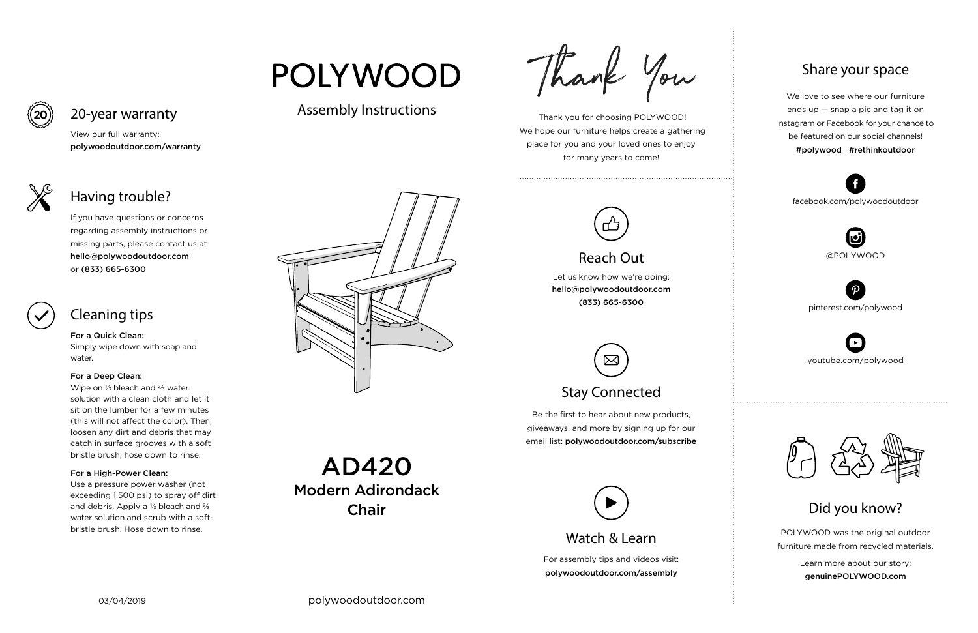For assembly tips and videos visit: polywoodoutdoor.com/assembly

 Thank you for choosing POLYWOOD! We hope our furniture helps create a gathering place for you and your loved ones to enjoy for many years to come!



Let us know how we're doing: hello@polywoodoutdoor.com (833) 665-6300

Be the first to hear about new products, giveaways, and more by signing up for our email list: polywoodoutdoor.com/subscribe

## ⊠ Stay Connected

POLYWOOD was the original outdoor furniture made from recycled materials.

> Learn more about our story: genuinePOLYWOOD.com

We love to see where our furniture ends up — snap a pic and tag it on Instagram or Facebook for your chance to be featured on our social channels! #polywood #rethinkoutdoor



youtube.com/polywood



pinterest.com/polywood



facebook.com/polywoodoutdoor





# **POLYWOOD**

## Assembly Instructions



Watch & Learn

## Reach Out

### Share your space

Did you know?

View our full warranty:

polywoodoutdoor.com/warranty

For a Quick Clean: Simply wipe down with soap and water.

#### For a Deep Clean:

Wipe on ⅓ bleach and ⅔ water solution with a clean cloth and let it sit on the lumber for a few minutes (this will not affect the color). Then, loosen any dirt and debris that may catch in surface grooves with a soft bristle brush; hose down to rinse.

#### For a High-Power Clean:

Use a pressure power washer (not exceeding 1,500 psi) to spray off dirt and debris. Apply a ⅓ bleach and ⅔ water solution and scrub with a softbristle brush. Hose down to rinse.





If you have questions or concerns regarding assembly instructions or missing parts, please contact us at hello@polywoodoutdoor.com or (833) 665-6300



20-year warranty

## Having trouble?

## Cleaning tips

AD420 Modern Adirondack Chair